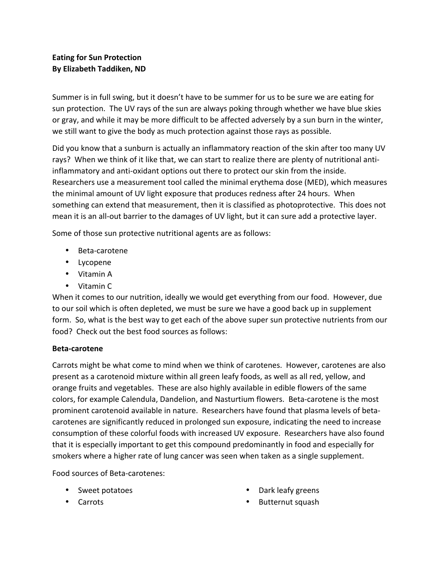# **Eating for Sun Protection By Elizabeth Taddiken, ND**

Summer is in full swing, but it doesn't have to be summer for us to be sure we are eating for sun protection. The UV rays of the sun are always poking through whether we have blue skies or gray, and while it may be more difficult to be affected adversely by a sun burn in the winter, we still want to give the body as much protection against those rays as possible.

Did you know that a sunburn is actually an inflammatory reaction of the skin after too many UV rays? When we think of it like that, we can start to realize there are plenty of nutritional antiinflammatory and anti-oxidant options out there to protect our skin from the inside. Researchers use a measurement tool called the minimal erythema dose (MED), which measures the minimal amount of UV light exposure that produces redness after 24 hours. When something can extend that measurement, then it is classified as photoprotective. This does not mean it is an all-out barrier to the damages of UV light, but it can sure add a protective layer.

Some of those sun protective nutritional agents are as follows:

- Beta-carotene
- Lycopene
- Vitamin A
- Vitamin C

When it comes to our nutrition, ideally we would get everything from our food. However, due to our soil which is often depleted, we must be sure we have a good back up in supplement form. So, what is the best way to get each of the above super sun protective nutrients from our food? Check out the best food sources as follows:

### **Beta-carotene**

Carrots might be what come to mind when we think of carotenes. However, carotenes are also present as a carotenoid mixture within all green leafy foods, as well as all red, yellow, and orange fruits and vegetables. These are also highly available in edible flowers of the same colors, for example Calendula, Dandelion, and Nasturtium flowers. Beta-carotene is the most prominent carotenoid available in nature. Researchers have found that plasma levels of betacarotenes are significantly reduced in prolonged sun exposure, indicating the need to increase consumption of these colorful foods with increased UV exposure. Researchers have also found that it is especially important to get this compound predominantly in food and especially for smokers where a higher rate of lung cancer was seen when taken as a single supplement.

Food sources of Beta-carotenes:

- Sweet potatoes
- Carrots
- Dark leafy greens
- Butternut squash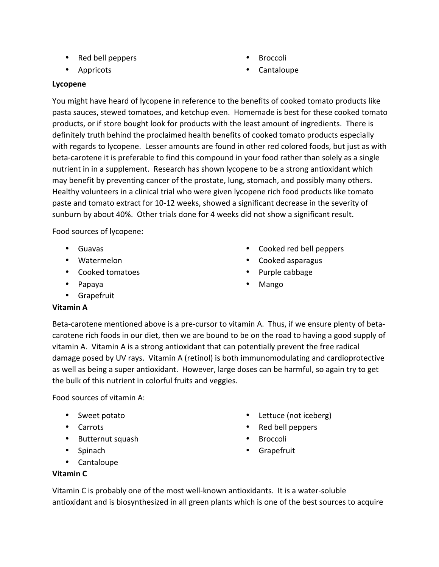- Red bell peppers
- Appricots
- **Broccoli**
- Cantaloupe

#### **Lycopene**

You might have heard of lycopene in reference to the benefits of cooked tomato products like pasta sauces, stewed tomatoes, and ketchup even. Homemade is best for these cooked tomato products, or if store bought look for products with the least amount of ingredients. There is definitely truth behind the proclaimed health benefits of cooked tomato products especially with regards to lycopene. Lesser amounts are found in other red colored foods, but just as with beta-carotene it is preferable to find this compound in your food rather than solely as a single nutrient in in a supplement. Research has shown lycopene to be a strong antioxidant which may benefit by preventing cancer of the prostate, lung, stomach, and possibly many others. Healthy volunteers in a clinical trial who were given lycopene rich food products like tomato paste and tomato extract for 10-12 weeks, showed a significant decrease in the severity of sunburn by about 40%. Other trials done for 4 weeks did not show a significant result.

Food sources of lycopene:

- Guavas
- Watermelon
- Cooked tomatoes
- Papaya
- Grapefruit
- Cooked red bell peppers
- Cooked asparagus
- Purple cabbage
- Mango

## **Vitamin A**

Beta-carotene mentioned above is a pre-cursor to vitamin A. Thus, if we ensure plenty of betacarotene rich foods in our diet, then we are bound to be on the road to having a good supply of vitamin A. Vitamin A is a strong antioxidant that can potentially prevent the free radical damage posed by UV rays. Vitamin A (retinol) is both immunomodulating and cardioprotective as well as being a super antioxidant. However, large doses can be harmful, so again try to get the bulk of this nutrient in colorful fruits and veggies.

Food sources of vitamin A:

- Sweet potato
- Carrots
- Butternut squash
- Spinach
- Cantaloupe
- Lettuce (not iceberg)
- Red bell peppers
- **Broccoli**
- **Grapefruit**

## **Vitamin C**

Vitamin C is probably one of the most well-known antioxidants. It is a water-soluble antioxidant and is biosynthesized in all green plants which is one of the best sources to acquire